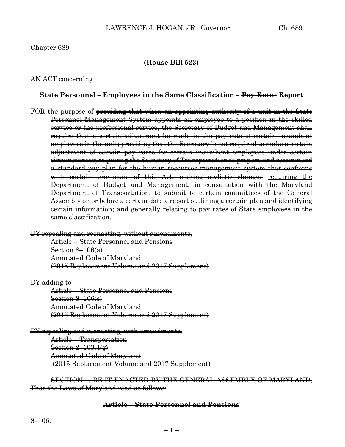## Chapter 689

# **(House Bill 523)**

## AN ACT concerning

## **State Personnel – Employees in the Same Classification – Pay Rates Report**

FOR the purpose of <del>providing that when an appointing authority of a unit in the State</del> Personnel Management System appoints an employee to a position in the skilled service or the professional service, the Secretary of Budget and Management shall require that a certain adjustment be made in the pay rate of certain incumbent employees in the unit; providing that the Secretary is not required to make a certain adjustment of certain pay rates for certain incumbent employees under certain circumstances; requiring the Secretary of Transportation to prepare and recommend a standard pay plan for the human resources management system that conforms with certain provisions of this Act; making stylistic changes requiring the Department of Budget and Management, in consultation with the Maryland Department of Transportation, to submit to certain committees of the General Assembly on or before a certain date a report outlining a certain plan and identifying certain information; and generally relating to pay rates of State employees in the same classification.

#### BY repealing and reenacting, without amendments,

Article – State Personnel and Pensions Section 8–106(a) Annotated Code of Maryland (2015 Replacement Volume and 2017 Supplement)

#### BY adding to

Article – State Personnel and Pensions Section 8–106(e) Annotated Code of Maryland (2015 Replacement Volume and 2017 Supplement)

# BY repealing and reenacting, with amendments,

Article – Transportation Section 2-103.4(e) Annotated Code of Maryland (2015 Replacement Volume and 2017 Supplement)

SECTION 1. BE IT ENACTED BY THE GENERAL ASSEMBLY OF MARYLAND, That the Laws of Maryland read as follows:

#### **Article – State Personnel and Pensions**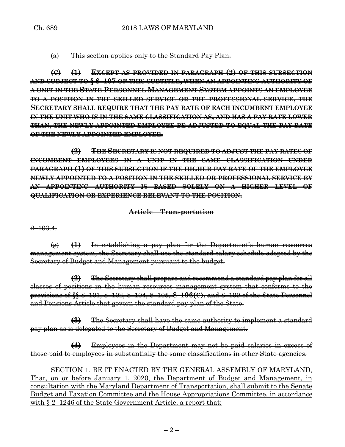(a) This section applies only to the Standard Pay Plan.

**(C) (1) EXCEPT AS PROVIDED IN PARAGRAPH (2) OF THIS SUBSECTION AND SUBJECT TO § 8–107 OF THIS SUBTITLE, WHEN AN APPOINTING AUTHORITY OF A UNIT IN THE STATE PERSONNEL MANAGEMENT SYSTEM APPOINTS AN EMPLOYEE TO A POSITION IN THE SKILLED SERVICE OR THE PROFESSIONAL SERVICE, THE SECRETARY SHALL REQUIRE THAT THE PAY RATE OF EACH INCUMBENT EMPLOYEE IN THE UNIT WHO IS IN THE SAME CLASSIFICATION AS, AND HAS A PAY RATE LOWER THAN, THE NEWLY APPOINTED EMPLOYEE BE ADJUSTED TO EQUAL THE PAY RATE OF THE NEWLY APPOINTED EMPLOYEE.**

**(2) THE SECRETARY IS NOT REQUIRED TO ADJUST THE PAY RATES OF INCUMBENT EMPLOYEES IN A UNIT IN THE SAME CLASSIFICATION UNDER PARAGRAPH (1) OF THIS SUBSECTION IF THE HIGHER PAY RATE OF THE EMPLOYEE NEWLY APPOINTED TO A POSITION IN THE SKILLED OR PROFESSIONAL SERVICE BY AN APPOINTING AUTHORITY IS BASED SOLELY ON A HIGHER LEVEL OF QUALIFICATION OR EXPERIENCE RELEVANT TO THE POSITION.**

### **Article – Transportation**

2–103.4.

(g) **(1)** In establishing a pay plan for the Department's human resources management system, the Secretary shall use the standard salary schedule adopted by the Secretary of Budget and Management pursuant to the budget.

**(2)** The Secretary shall prepare and recommend a standard pay plan for all classes of positions in the human resources management system that conforms to the provisions of §§ 8–101, 8–102, 8–104, 8–105, **8–106(C),** and 8–109 of the State Personnel and Pensions Article that govern the standard pay plan of the State.

**(3)** The Secretary shall have the same authority to implement a standard pay plan as is delegated to the Secretary of Budget and Management.

**(4)** Employees in the Department may not be paid salaries in excess of those paid to employees in substantially the same classifications in other State agencies.

SECTION 1. BE IT ENACTED BY THE GENERAL ASSEMBLY OF MARYLAND, That, on or before January 1, 2020, the Department of Budget and Management, in consultation with the Maryland Department of Transportation, shall submit to the Senate Budget and Taxation Committee and the House Appropriations Committee, in accordance with  $\S 2-1246$  of the State Government Article, a report that: